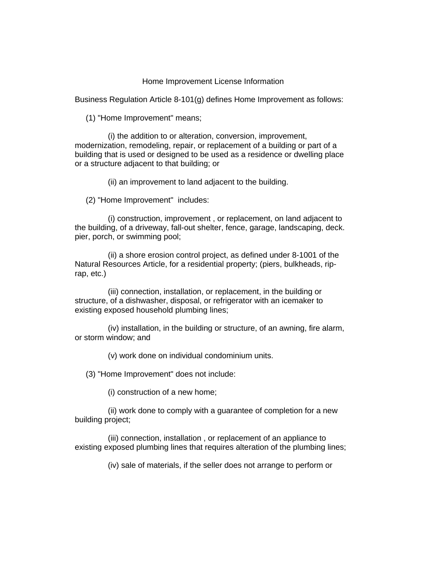## Home Improvement License Information

Business Regulation Article 8-101(g) defines Home Improvement as follows:

(1) "Home Improvement" means;

 (i) the addition to or alteration, conversion, improvement, modernization, remodeling, repair, or replacement of a building or part of a building that is used or designed to be used as a residence or dwelling place or a structure adjacent to that building; or

(ii) an improvement to land adjacent to the building.

(2) "Home Improvement" includes:

 (i) construction, improvement , or replacement, on land adjacent to the building, of a driveway, fall-out shelter, fence, garage, landscaping, deck. pier, porch, or swimming pool;

 (ii) a shore erosion control project, as defined under 8-1001 of the Natural Resources Article, for a residential property; (piers, bulkheads, riprap, etc.)

 (iii) connection, installation, or replacement, in the building or structure, of a dishwasher, disposal, or refrigerator with an icemaker to existing exposed household plumbing lines;

 (iv) installation, in the building or structure, of an awning, fire alarm, or storm window; and

(v) work done on individual condominium units.

(3) "Home Improvement" does not include:

(i) construction of a new home;

 (ii) work done to comply with a guarantee of completion for a new building project;

 (iii) connection, installation , or replacement of an appliance to existing exposed plumbing lines that requires alteration of the plumbing lines;

(iv) sale of materials, if the seller does not arrange to perform or